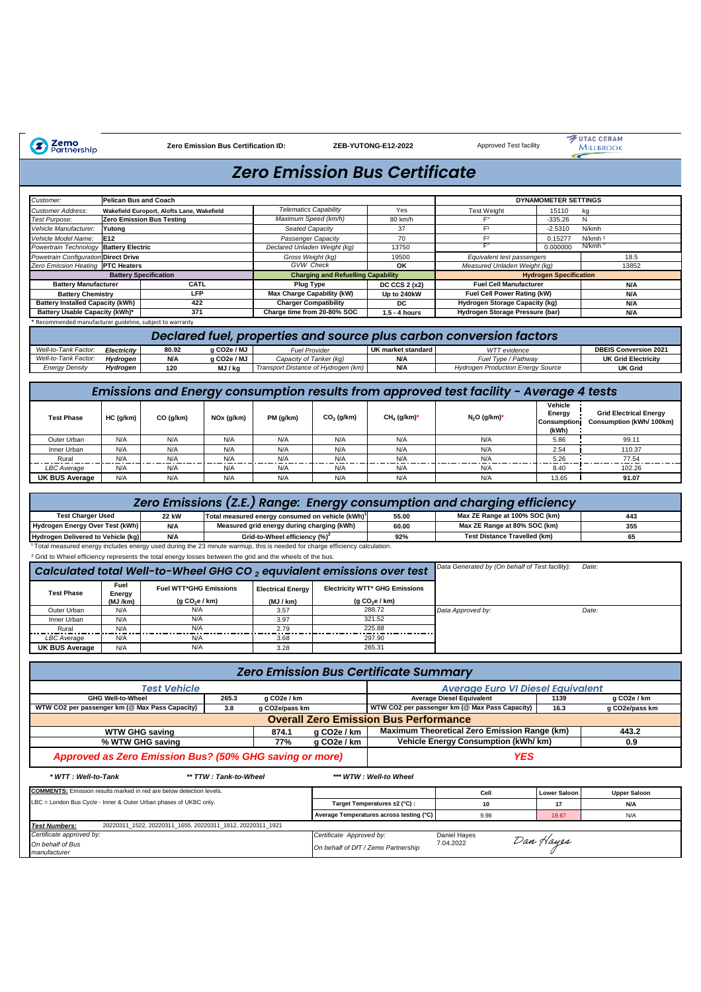Zemo<br>Partnership

**Zero Emission Bus Certification ID: ZEB-YUTONG-E12-2022** 

Approved Test facility

VITAC CERAM ⋖

## *Zero Emission Bus Certificate*

| Customer:                                                                                                                  | Pelican Bus and Coach                                   |                                                            |                         |                                                              |                                           |                                              |                                                                                        | <b>DYNAMOMETER SETTINGS</b>    |                                                           |
|----------------------------------------------------------------------------------------------------------------------------|---------------------------------------------------------|------------------------------------------------------------|-------------------------|--------------------------------------------------------------|-------------------------------------------|----------------------------------------------|----------------------------------------------------------------------------------------|--------------------------------|-----------------------------------------------------------|
| Customer Address:                                                                                                          |                                                         | Wakefield Europort, Alofts Lane, Wakefield                 |                         | <b>Telematics Capability</b>                                 |                                           | Yes                                          | <b>Test Weight</b>                                                                     | 15110                          | kq                                                        |
| Test Purpose:                                                                                                              |                                                         | Zero Emission Bus Testing                                  |                         | Maximum Speed (km/h)                                         |                                           | 80 km/h                                      | $\mathsf{F}^\circ$                                                                     | $-335.26$                      | Ν                                                         |
|                                                                                                                            |                                                         |                                                            |                         |                                                              |                                           | 37                                           | F <sup>1</sup>                                                                         |                                |                                                           |
| Vehicle Manufacturer:                                                                                                      | Yutong                                                  |                                                            |                         | <b>Seated Capacity</b>                                       |                                           |                                              |                                                                                        | $-2.5310$                      | N/kmh                                                     |
| Vehicle Model Name:                                                                                                        | E12                                                     |                                                            |                         | Passenger Capacity                                           |                                           | 70                                           | F <sup>2</sup>                                                                         | 0.15277                        | N/kmh <sup>2</sup>                                        |
| Powertrain Technology                                                                                                      | <b>Battery Electric</b>                                 |                                                            |                         | Declared Unladen Weight (kg)                                 |                                           | 13750                                        | $\mathsf{F}^3$                                                                         | 0.000000                       | N/kmh                                                     |
| Powetrain Configuration Direct Drive                                                                                       |                                                         |                                                            |                         | Gross Weight (kg)                                            |                                           | 19500                                        | Equivalent test passengers                                                             |                                | 18.5                                                      |
| Zero Emission Heating                                                                                                      | <b>PTC Heaters</b>                                      |                                                            |                         | <b>GVW</b> Check                                             |                                           | OK                                           | Measured Unladen Weight (kg)                                                           |                                | 13852                                                     |
|                                                                                                                            | <b>Battery Specification</b>                            |                                                            |                         |                                                              | <b>Charging and Refuelling Capability</b> |                                              |                                                                                        | <b>Hydrogen Specification</b>  |                                                           |
| <b>Battery Manufacturer</b>                                                                                                |                                                         | CATL                                                       |                         | <b>Plug Type</b>                                             |                                           | DC CCS 2 (x2)                                | <b>Fuel Cell Manufacturer</b>                                                          |                                | N/A                                                       |
|                                                                                                                            |                                                         | LFP                                                        |                         |                                                              |                                           |                                              |                                                                                        |                                |                                                           |
| <b>Battery Chemistry</b>                                                                                                   |                                                         |                                                            |                         | Max Charge Capability (kW)                                   |                                           | Up to 240kW                                  | Fuel Cell Power Rating (kW)                                                            |                                | N/A                                                       |
| <b>Battery Installed Capacity (kWh)</b>                                                                                    |                                                         | 422                                                        |                         | <b>Charger Compatibility</b>                                 |                                           | DC                                           | Hydrogen Storage Capacity (kg)                                                         |                                | N/A                                                       |
| Battery Usable Capacity (kWh)*                                                                                             |                                                         | 371                                                        |                         | Charge time from 20-80% SOC                                  |                                           | 1.5 - 4 hours                                | Hydrogen Storage Pressure (bar)                                                        |                                | N/A                                                       |
|                                                                                                                            | Recommended manufacturer guideline, subject to warranty |                                                            |                         |                                                              |                                           |                                              |                                                                                        |                                |                                                           |
|                                                                                                                            |                                                         |                                                            |                         |                                                              |                                           |                                              | Declared fuel, properties and source plus carbon conversion factors                    |                                |                                                           |
| Well-to-Tank Factor:                                                                                                       |                                                         | 80.92                                                      | g CO <sub>2e</sub> / MJ | <b>Fuel Provider</b>                                         |                                           | <b>UK market standard</b>                    | WTT evidence                                                                           |                                | <b>DBEIS Conversion 2021</b>                              |
|                                                                                                                            | Electricity                                             |                                                            |                         |                                                              |                                           |                                              |                                                                                        |                                |                                                           |
| Well-to-Tank Factor:                                                                                                       | Hydrogen                                                | <b>N/A</b>                                                 | g CO2e / MJ             | Capacity of Tanker (kg)                                      |                                           | <b>Ν/Α</b>                                   | Fuel Type / Pathway                                                                    |                                | <b>UK Grid Electricity</b>                                |
| <b>Energy Density</b>                                                                                                      | Hydrogen                                                | 120                                                        | MJ / kg                 | Transport Distance of Hydrogen (km)                          |                                           | <b>Ν/Α</b>                                   | Hydrogen Production Energy Source                                                      |                                | <b>UK Grid</b>                                            |
|                                                                                                                            |                                                         |                                                            |                         |                                                              |                                           |                                              |                                                                                        |                                |                                                           |
|                                                                                                                            |                                                         |                                                            |                         |                                                              |                                           |                                              | Emissions and Energy consumption results from approved test facility - Average 4 tests |                                |                                                           |
|                                                                                                                            |                                                         |                                                            |                         |                                                              |                                           |                                              |                                                                                        | Vehicle                        |                                                           |
| <b>Test Phase</b>                                                                                                          | HC (g/km)                                               | CO (g/km)                                                  | NOx (g/km)              | PM (g/km)                                                    | $CO2$ (g/km)                              | $CH4$ (g/km)*                                | $N_2O$ (g/km)*                                                                         | Energy<br>Consumption<br>(kWh) | <b>Grid Electrical Energy</b><br>Consumption (kWh/ 100km) |
| Outer Urban                                                                                                                | N/A                                                     | N/A                                                        | N/A                     | N/A                                                          | N/A                                       | N/A                                          | N/A                                                                                    | 5.86                           | 99.11                                                     |
|                                                                                                                            |                                                         |                                                            |                         |                                                              |                                           |                                              |                                                                                        |                                |                                                           |
| Inner Urban                                                                                                                | N/A                                                     | N/A                                                        | N/A                     | N/A                                                          | N/A                                       | N/A                                          | N/A                                                                                    | 2.54                           | 110.37                                                    |
| Rural                                                                                                                      | N/A                                                     | N/A                                                        | N/A                     | N/A                                                          | N/A                                       | N/A                                          | N/A                                                                                    | 5.26                           | 77.54                                                     |
| <b>LBC</b> Average                                                                                                         | N/A                                                     | N/A<br>N/A<br>N/A                                          |                         | N/A                                                          | N/A                                       | N/A                                          | 8.40                                                                                   | 102.26                         |                                                           |
| <b>UK BUS Average</b>                                                                                                      | N/A<br>N/A<br>N/A                                       |                                                            | N/A                     | N/A                                                          | N/A                                       | N/A                                          | 13.65                                                                                  | 91.07                          |                                                           |
|                                                                                                                            |                                                         |                                                            |                         |                                                              |                                           |                                              |                                                                                        |                                |                                                           |
|                                                                                                                            |                                                         |                                                            |                         |                                                              |                                           |                                              | Zero Emissions (Z.E.) Range: Energy consumption and charging efficiency                |                                |                                                           |
| <b>Test Charger Used</b>                                                                                                   |                                                         |                                                            |                         |                                                              |                                           |                                              | Max ZE Range at 100% SOC (km)                                                          |                                |                                                           |
|                                                                                                                            |                                                         | <b>22 kW</b>                                               |                         | Total measured energy consumed on vehicle (kWh) <sup>1</sup> |                                           | 55.00                                        |                                                                                        |                                | 443                                                       |
| Hydrogen Energy Over Test (kWh)                                                                                            |                                                         | N/A                                                        |                         | Measured grid energy during charging (kWh)                   |                                           | 60.00                                        | Max ZE Range at 80% SOC (km)                                                           |                                | 355                                                       |
| Hydrogen Delivered to Vehicle (kg)                                                                                         |                                                         | N/A                                                        |                         | Grid-to-Wheel efficiency (%) <sup>2</sup>                    |                                           | 92%                                          | <b>Test Distance Travelled (km)</b>                                                    |                                | 65                                                        |
| 1Total measured energy includes energy used during the 23 minute warmup, this is needed for charge efficiency calculation. |                                                         |                                                            |                         |                                                              |                                           |                                              |                                                                                        |                                |                                                           |
| <sup>2</sup> Grid to Wheel efficiency represents the total energy losses between the grid and the wheels of the bus.       |                                                         |                                                            |                         |                                                              |                                           |                                              |                                                                                        |                                |                                                           |
| Calculated total Well-to-Wheel GHG CO $_2$ equvialent emissions over test                                                  |                                                         |                                                            |                         |                                                              |                                           |                                              | Data Generated by (On behalf of Test facility):                                        |                                | Date:                                                     |
|                                                                                                                            |                                                         |                                                            |                         |                                                              |                                           |                                              |                                                                                        |                                |                                                           |
| <b>Test Phase</b>                                                                                                          | Energy                                                  | Fuel<br><b>Fuel WTT*GHG Emissions</b>                      |                         |                                                              |                                           |                                              |                                                                                        |                                |                                                           |
|                                                                                                                            |                                                         |                                                            |                         | <b>Electrical Energy</b>                                     |                                           | Electricity WTT* GHG Emissions               |                                                                                        |                                |                                                           |
| Outer Urban                                                                                                                | (g CO <sub>2</sub> e / km)<br>(MJ /km)                  |                                                            |                         |                                                              |                                           |                                              |                                                                                        |                                |                                                           |
|                                                                                                                            |                                                         |                                                            |                         | (MJ / km)                                                    |                                           | (g CO <sub>2</sub> e / km)                   |                                                                                        |                                |                                                           |
|                                                                                                                            | N/A                                                     | N/A                                                        |                         | 3.57                                                         |                                           | 288.72                                       | Data Approved by:                                                                      |                                | Date:                                                     |
| Inner Urban                                                                                                                | N/A                                                     | N/A                                                        |                         | 3.97                                                         |                                           | 321.52                                       |                                                                                        |                                |                                                           |
| Rural                                                                                                                      | N/A                                                     | N/A                                                        |                         | 2.79                                                         |                                           | 225.88                                       |                                                                                        |                                |                                                           |
| <b>LBC</b> Average                                                                                                         | N/A                                                     | N/A                                                        |                         | 3.68                                                         |                                           | 297.90                                       |                                                                                        |                                |                                                           |
| <b>UK BUS Average</b>                                                                                                      | N/A                                                     | N/A                                                        |                         | 3.28                                                         |                                           | 265.31                                       |                                                                                        |                                |                                                           |
|                                                                                                                            |                                                         |                                                            |                         |                                                              |                                           |                                              |                                                                                        |                                |                                                           |
|                                                                                                                            |                                                         |                                                            |                         |                                                              |                                           | <b>Zero Emission Bus Certificate Summary</b> |                                                                                        |                                |                                                           |
|                                                                                                                            |                                                         | <b>Test Vehicle</b>                                        |                         |                                                              |                                           |                                              | <b>Average Euro VI Diesel Equivalent</b>                                               |                                |                                                           |
|                                                                                                                            | GHG Well-to-Wheel                                       |                                                            | 265.3                   | g CO2e / km                                                  |                                           |                                              | <b>Average Diesel Equivalent</b>                                                       | 1139                           | g CO2e / km                                               |
|                                                                                                                            |                                                         |                                                            |                         |                                                              |                                           |                                              |                                                                                        |                                |                                                           |
| WTW CO2 per passenger km (@ Max Pass Capacity)                                                                             |                                                         |                                                            | 3.8                     | g CO2e/pass km                                               |                                           |                                              | WTW CO2 per passenger km (@ Max Pass Capacity)                                         | 16.3                           | g CO2e/pass km                                            |
|                                                                                                                            |                                                         |                                                            |                         |                                                              |                                           | <b>Overall Zero Emission Bus Performance</b> |                                                                                        |                                |                                                           |
|                                                                                                                            |                                                         |                                                            |                         |                                                              |                                           |                                              |                                                                                        |                                |                                                           |
|                                                                                                                            | <b>WTW GHG saving</b>                                   |                                                            |                         | 874.1                                                        | g CO <sub>2</sub> e / km                  |                                              | Maximum Theoretical Zero Emission Range (km)                                           |                                | 443.2                                                     |
|                                                                                                                            | % WTW GHG saving                                        |                                                            |                         | 77%                                                          | g CO <sub>2</sub> e / km                  |                                              | <b>Vehicle Energy Consumption (kWh/ km)</b>                                            |                                | 0.9                                                       |
|                                                                                                                            |                                                         | Approved as Zero Emission Bus? (50% GHG saving or more)    |                         |                                                              |                                           |                                              | <b>YES</b>                                                                             |                                |                                                           |
| * WTT: Well-to-Tank                                                                                                        |                                                         |                                                            | ** TTW: Tank-to-Wheel   |                                                              |                                           | *** WTW : Well-to Wheel                      |                                                                                        |                                |                                                           |
|                                                                                                                            |                                                         |                                                            |                         |                                                              |                                           |                                              |                                                                                        |                                |                                                           |
| <b>COMMENTS:</b> Emission results marked in red are below detection levels.                                                |                                                         |                                                            |                         |                                                              |                                           |                                              | Cell                                                                                   | <b>Lower Saloon</b>            | <b>Upper Saloon</b>                                       |
| LBC = London Bus Cycle - Inner & Outer Urban phases of UKBC only.                                                          |                                                         |                                                            |                         |                                                              |                                           | Target Temperatures ±2 (°C) :                | 10                                                                                     | 17                             | N/A                                                       |
|                                                                                                                            |                                                         |                                                            |                         |                                                              |                                           |                                              |                                                                                        |                                |                                                           |
|                                                                                                                            |                                                         |                                                            |                         |                                                              |                                           | Average Temperatures across testing (°C)     | 9.98                                                                                   | 19.67                          | N/A                                                       |
| <b>Test Numbers:</b>                                                                                                       |                                                         | 20220311_1522, 20220311_1655, 20220311_1812, 20220311_1921 |                         |                                                              |                                           |                                              |                                                                                        |                                |                                                           |
| Certificate approved by:                                                                                                   |                                                         |                                                            |                         |                                                              | Certificate Approved by:                  |                                              | Daniel Hayes                                                                           |                                |                                                           |
| On behalf of Bus<br>manufacturer                                                                                           |                                                         |                                                            |                         |                                                              |                                           | On behalf of DfT / Zemo Partnership          | 7.04.2022                                                                              | Dan Hayes                      |                                                           |